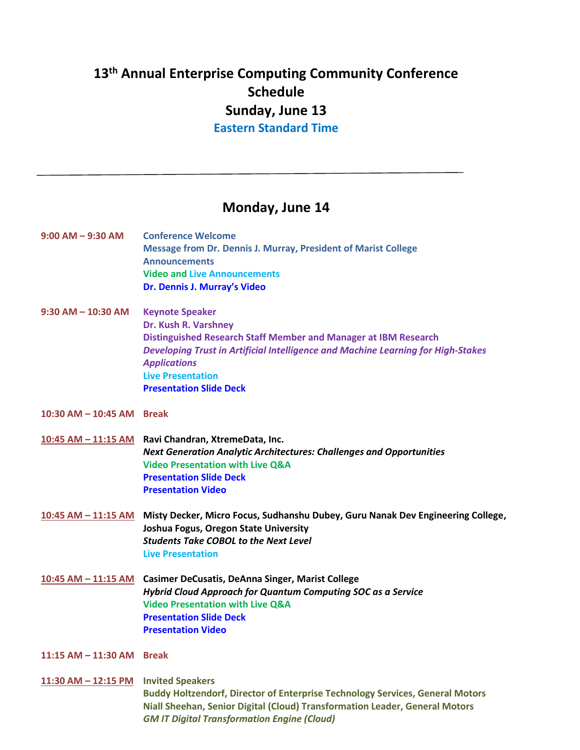## **13 th Annual Enterprise Computing Community Conference Schedule Sunday, June 13 Eastern Standard Time**

## **Monday, June 14**

| $9:00$ AM $-$ 9:30 AM                | <b>Conference Welcome</b><br><b>Message from Dr. Dennis J. Murray, President of Marist College</b><br><b>Announcements</b><br><b>Video and Live Announcements</b><br>Dr. Dennis J. Murray's Video                                                                                          |
|--------------------------------------|--------------------------------------------------------------------------------------------------------------------------------------------------------------------------------------------------------------------------------------------------------------------------------------------|
| $9:30$ AM $-$ 10:30 AM               | <b>Keynote Speaker</b><br>Dr. Kush R. Varshney<br>Distinguished Research Staff Member and Manager at IBM Research<br>Developing Trust in Artificial Intelligence and Machine Learning for High-Stakes<br><b>Applications</b><br><b>Live Presentation</b><br><b>Presentation Slide Deck</b> |
| 10:30 AM $-$ 10:45 AM Break          |                                                                                                                                                                                                                                                                                            |
|                                      | 10:45 AM - 11:15 AM Ravi Chandran, XtremeData, Inc.<br><b>Next Generation Analytic Architectures: Challenges and Opportunities</b><br><b>Video Presentation with Live Q&amp;A</b><br><b>Presentation Slide Deck</b><br><b>Presentation Video</b>                                           |
| $10:45$ AM $-$ 11:15 AM              | Misty Decker, Micro Focus, Sudhanshu Dubey, Guru Nanak Dev Engineering College,<br>Joshua Fogus, Oregon State University<br><b>Students Take COBOL to the Next Level</b><br><b>Live Presentation</b>                                                                                       |
| <u>10:45 AM - 11:15 AM</u>           | <b>Casimer DeCusatis, DeAnna Singer, Marist College</b><br>Hybrid Cloud Approach for Quantum Computing SOC as a Service<br><b>Video Presentation with Live Q&amp;A</b><br><b>Presentation Slide Deck</b><br><b>Presentation Video</b>                                                      |
| 11:15 AM - 11:30 AM Break            |                                                                                                                                                                                                                                                                                            |
| 11:30 AM - 12:15 PM Invited Speakers | <b>Buddy Holtzendorf, Director of Enterprise Technology Services, General Motors</b><br>Niall Sheehan, Senior Digital (Cloud) Transformation Leader, General Motors<br><b>GM IT Digital Transformation Engine (Cloud)</b>                                                                  |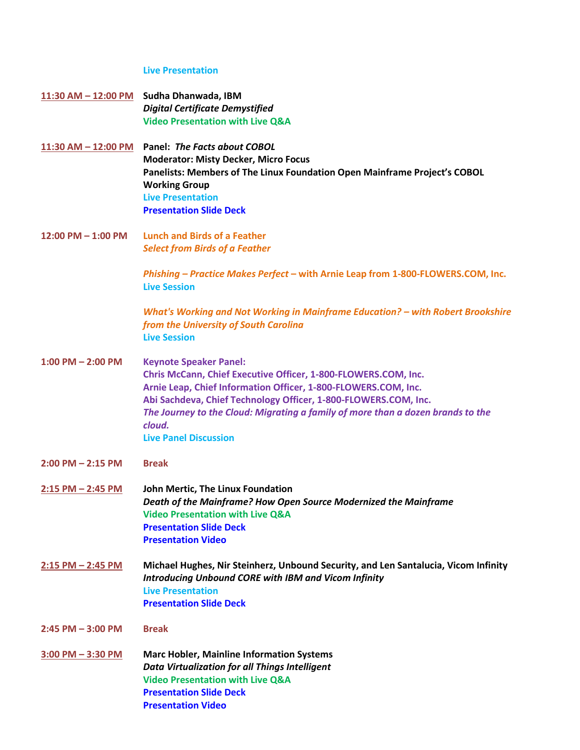## **Live Presentation**

| 11:30 AM - 12:00 PM     | Sudha Dhanwada, IBM                                                                    |
|-------------------------|----------------------------------------------------------------------------------------|
|                         | <b>Digital Certificate Demystified</b>                                                 |
|                         | <b>Video Presentation with Live Q&amp;A</b>                                            |
| $11:30$ AM $- 12:00$ PM | Panel: The Facts about COBOL                                                           |
|                         | <b>Moderator: Misty Decker, Micro Focus</b>                                            |
|                         | Panelists: Members of The Linux Foundation Open Mainframe Project's COBOL              |
|                         | <b>Working Group</b>                                                                   |
|                         | <b>Live Presentation</b>                                                               |
|                         | <b>Presentation Slide Deck</b>                                                         |
| 12:00 PM $-$ 1:00 PM    | <b>Lunch and Birds of a Feather</b>                                                    |
|                         | <b>Select from Birds of a Feather</b>                                                  |
|                         |                                                                                        |
|                         | Phishing - Practice Makes Perfect - with Arnie Leap from 1-800-FLOWERS.COM, Inc.       |
|                         | <b>Live Session</b>                                                                    |
|                         | <b>What's Working and Not Working in Mainframe Education? - with Robert Brookshire</b> |
|                         | from the University of South Carolina                                                  |
|                         | <b>Live Session</b>                                                                    |
| $1:00$ PM $- 2:00$ PM   | <b>Keynote Speaker Panel:</b>                                                          |
|                         | Chris McCann, Chief Executive Officer, 1-800-FLOWERS.COM, Inc.                         |
|                         | Arnie Leap, Chief Information Officer, 1-800-FLOWERS.COM, Inc.                         |
|                         | Abi Sachdeva, Chief Technology Officer, 1-800-FLOWERS.COM, Inc.                        |
|                         | The Journey to the Cloud: Migrating a family of more than a dozen brands to the        |
|                         | cloud.                                                                                 |
|                         | <b>Live Panel Discussion</b>                                                           |
|                         |                                                                                        |
| $2:00$ PM $- 2:15$ PM   | <b>Break</b>                                                                           |
| $2:15$ PM $- 2:45$ PM   | John Mertic, The Linux Foundation                                                      |
|                         | Death of the Mainframe? How Open Source Modernized the Mainframe                       |
|                         | <b>Video Presentation with Live Q&amp;A</b>                                            |
|                         | <b>Presentation Slide Deck</b>                                                         |
|                         | <b>Presentation Video</b>                                                              |
| $2:15$ PM $- 2:45$ PM   | Michael Hughes, Nir Steinherz, Unbound Security, and Len Santalucia, Vicom Infinity    |
|                         | <b>Introducing Unbound CORE with IBM and Vicom Infinity</b>                            |
|                         | <b>Live Presentation</b>                                                               |
|                         | <b>Presentation Slide Deck</b>                                                         |
| $2:45$ PM $-3:00$ PM    | <b>Break</b>                                                                           |
| $3:00$ PM $- 3:30$ PM   | <b>Marc Hobler, Mainline Information Systems</b>                                       |
|                         | <b>Data Virtualization for all Things Intelligent</b>                                  |
|                         | <b>Video Presentation with Live Q&amp;A</b>                                            |
|                         | <b>Presentation Slide Deck</b>                                                         |
|                         |                                                                                        |

**[Presentation Video](https://youtu.be/D2CogzsxLG4)**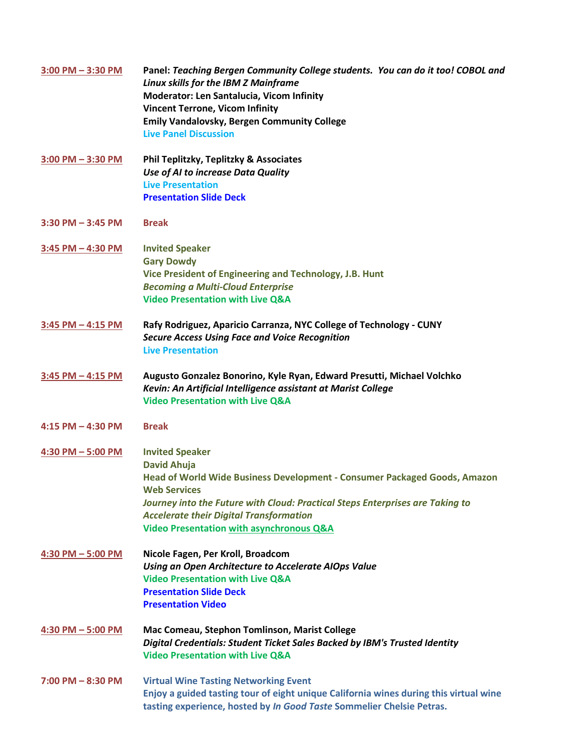| $3:00$ PM $-3:30$ PM  | Panel: Teaching Bergen Community College students. You can do it too! COBOL and<br><b>Linux skills for the IBM Z Mainframe</b><br>Moderator: Len Santalucia, Vicom Infinity<br><b>Vincent Terrone, Vicom Infinity</b><br><b>Emily Vandalovsky, Bergen Community College</b><br><b>Live Panel Discussion</b>                                |
|-----------------------|--------------------------------------------------------------------------------------------------------------------------------------------------------------------------------------------------------------------------------------------------------------------------------------------------------------------------------------------|
| $3:00$ PM $-3:30$ PM  | Phil Teplitzky, Teplitzky & Associates<br>Use of AI to increase Data Quality<br><b>Live Presentation</b><br><b>Presentation Slide Deck</b>                                                                                                                                                                                                 |
| $3:30$ PM $-3:45$ PM  | <b>Break</b>                                                                                                                                                                                                                                                                                                                               |
| 3:45 PM - 4:30 PM     | <b>Invited Speaker</b><br><b>Gary Dowdy</b><br>Vice President of Engineering and Technology, J.B. Hunt<br><b>Becoming a Multi-Cloud Enterprise</b><br><b>Video Presentation with Live Q&amp;A</b>                                                                                                                                          |
| $3:45$ PM $- 4:15$ PM | Rafy Rodriguez, Aparicio Carranza, NYC College of Technology - CUNY<br><b>Secure Access Using Face and Voice Recognition</b><br><b>Live Presentation</b>                                                                                                                                                                                   |
| $3:45$ PM $- 4:15$ PM | Augusto Gonzalez Bonorino, Kyle Ryan, Edward Presutti, Michael Volchko<br>Kevin: An Artificial Intelligence assistant at Marist College<br><b>Video Presentation with Live Q&amp;A</b>                                                                                                                                                     |
| $4:15$ PM $- 4:30$ PM | <b>Break</b>                                                                                                                                                                                                                                                                                                                               |
| 4:30 PM - 5:00 PM     | <b>Invited Speaker</b><br><b>David Ahuja</b><br>Head of World Wide Business Development - Consumer Packaged Goods, Amazon<br><b>Web Services</b><br>Journey into the Future with Cloud: Practical Steps Enterprises are Taking to<br><b>Accelerate their Digital Transformation</b><br><b>Video Presentation with asynchronous Q&amp;A</b> |
| 4:30 PM - 5:00 PM     | Nicole Fagen, Per Kroll, Broadcom<br>Using an Open Architecture to Accelerate AIOps Value<br><b>Video Presentation with Live Q&amp;A</b><br><b>Presentation Slide Deck</b><br><b>Presentation Video</b>                                                                                                                                    |
| $4:30$ PM $-5:00$ PM  | Mac Comeau, Stephon Tomlinson, Marist College<br>Digital Credentials: Student Ticket Sales Backed by IBM's Trusted Identity<br><b>Video Presentation with Live Q&amp;A</b>                                                                                                                                                                 |
| $7:00$ PM $-8:30$ PM  | <b>Virtual Wine Tasting Networking Event</b><br>Enjoy a guided tasting tour of eight unique California wines during this virtual wine<br>tasting experience, hosted by In Good Taste Sommelier Chelsie Petras.                                                                                                                             |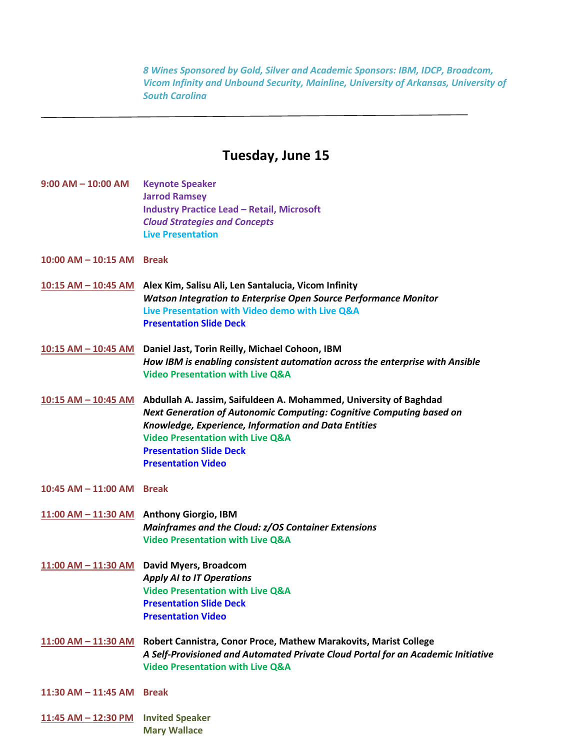*8 Wines Sponsored by Gold, Silver and Academic Sponsors: IBM, IDCP, Broadcom, Vicom Infinity and Unbound Security, Mainline, University of Arkansas, University of South Carolina*

## **Tuesday, June 15**

- **9:00 AM – 10:00 AM Keynote Speaker Jarrod Ramsey Industry Practice Lead – Retail, Microsoft** *Cloud Strategies and Concepts* **Live Presentation**
- **10:00 AM – 10:15 AM Break**
- **10:15 AM – 10:45 AM Alex Kim, Salisu Ali, Len Santalucia, Vicom Infinity** *Watson Integration to Enterprise Open Source Performance Monitor* **Live Presentation with Video demo with Live Q&A [Presentation Slide Deck](https://drive.google.com/file/d/1hLAnKl1ZGrwW6JiT2rDQzQfmvC9NJAgA/view?usp=sharing)**
- **10:15 AM – 10:45 AM Daniel Jast, Torin Reilly, Michael Cohoon, IBM** *How IBM is enabling consistent automation across the enterprise with Ansible* **Video Presentation with Live Q&A**
- **10:15 AM – 10:45 AM Abdullah A. Jassim, Saifuldeen A. Mohammed, University of Baghdad** *Next Generation of Autonomic Computing: Cognitive Computing based on Knowledge, Experience, Information and Data Entities*  **Video Presentation with Live Q&A [Presentation Slide Deck](https://drive.google.com/file/d/1J2szd26vLjhiycqbLUmWipj3wCj18ZDw/view?usp=sharing) [Presentation Video](https://youtu.be/2S0uDKwfP0g)**
- **10:45 AM – 11:00 AM Break**
- **11:00 AM – 11:30 AM Anthony Giorgio, IBM** *Mainframes and the Cloud: z/OS Container Extensions* **Video Presentation with Live Q&A**
- **11:00 AM – 11:30 AM David Myers, Broadcom** *Apply AI to IT Operations* **Video Presentation with Live Q&A [Presentation Slide Deck](https://mainframe.broadcom.com/hubfs/Mainframe/Resources/Mainframe%20AIOps%20Ebook.pdf?hsLang=en) [Presentation Video](https://youtu.be/K0rOkhqe4rY)**
- **11:00 AM – 11:30 AM Robert Cannistra, Conor Proce, Mathew Marakovits, Marist College** *A Self-Provisioned and Automated Private Cloud Portal for an Academic Initiative* **Video Presentation with Live Q&A**
- **11:30 AM – 11:45 AM Break**
- **11:45 AM – 12:30 PM Invited Speaker Mary Wallace**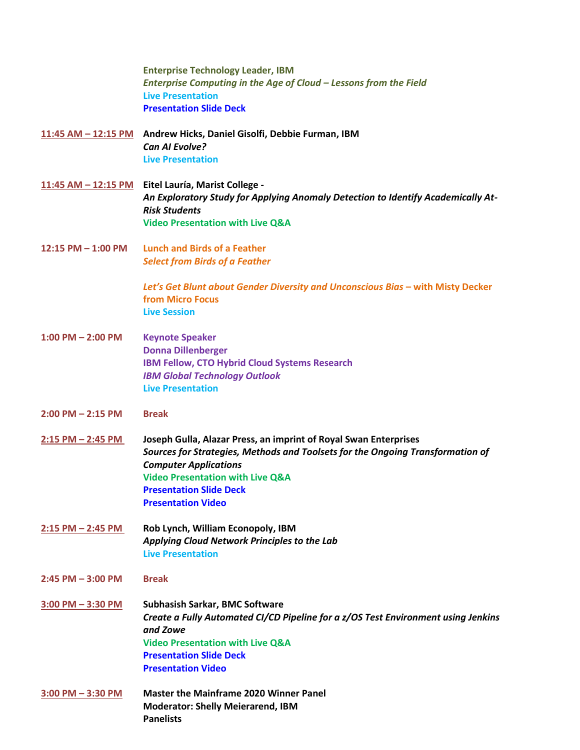|                        | <b>Enterprise Technology Leader, IBM</b><br>Enterprise Computing in the Age of Cloud - Lessons from the Field<br><b>Live Presentation</b><br><b>Presentation Slide Deck</b>                                                                                                                      |
|------------------------|--------------------------------------------------------------------------------------------------------------------------------------------------------------------------------------------------------------------------------------------------------------------------------------------------|
|                        | 11:45 AM - 12:15 PM Andrew Hicks, Daniel Gisolfi, Debbie Furman, IBM<br><b>Can AI Evolve?</b><br><b>Live Presentation</b>                                                                                                                                                                        |
| 11:45 AM $-$ 12:15 PM  | Eitel Lauría, Marist College -<br>An Exploratory Study for Applying Anomaly Detection to Identify Academically At-<br><b>Risk Students</b><br><b>Video Presentation with Live Q&amp;A</b>                                                                                                        |
| $12:15$ PM $- 1:00$ PM | <b>Lunch and Birds of a Feather</b><br><b>Select from Birds of a Feather</b>                                                                                                                                                                                                                     |
|                        | Let's Get Blunt about Gender Diversity and Unconscious Bias - with Misty Decker<br><b>from Micro Focus</b><br><b>Live Session</b>                                                                                                                                                                |
| $1:00$ PM $- 2:00$ PM  | <b>Keynote Speaker</b><br><b>Donna Dillenberger</b><br>IBM Fellow, CTO Hybrid Cloud Systems Research<br><b>IBM Global Technology Outlook</b><br><b>Live Presentation</b>                                                                                                                         |
| $2:00$ PM $- 2:15$ PM  | <b>Break</b>                                                                                                                                                                                                                                                                                     |
| $2:15$ PM $- 2:45$ PM  | Joseph Gulla, Alazar Press, an imprint of Royal Swan Enterprises<br>Sources for Strategies, Methods and Toolsets for the Ongoing Transformation of<br><b>Computer Applications</b><br><b>Video Presentation with Live Q&amp;A</b><br><b>Presentation Slide Deck</b><br><b>Presentation Video</b> |
| $2:15$ PM $- 2:45$ PM  | Rob Lynch, William Econopoly, IBM<br>Applying Cloud Network Principles to the Lab<br><b>Live Presentation</b>                                                                                                                                                                                    |
| $2:45$ PM $-3:00$ PM   | <b>Break</b>                                                                                                                                                                                                                                                                                     |
| $3:00$ PM $-3:30$ PM   | <b>Subhasish Sarkar, BMC Software</b><br>Create a Fully Automated CI/CD Pipeline for a z/OS Test Environment using Jenkins<br>and Zowe<br><b>Video Presentation with Live Q&amp;A</b><br><b>Presentation Slide Deck</b><br><b>Presentation Video</b>                                             |
| $3:00$ PM $-3:30$ PM   | <b>Master the Mainframe 2020 Winner Panel</b><br><b>Moderator: Shelly Meierarend, IBM</b><br><b>Panelists</b>                                                                                                                                                                                    |